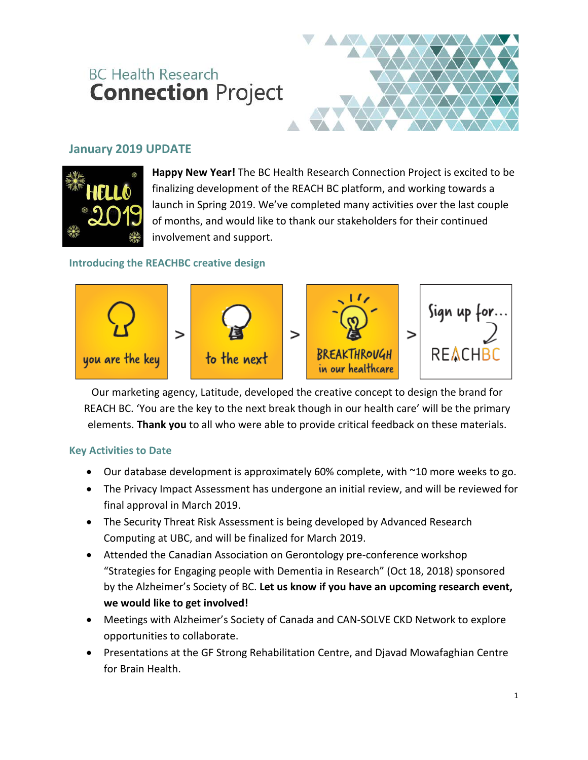# **BC Health Research Connection Project**



### **January 2019 UPDATE**



**Happy New Year!** The BC Health Research Connection Project is excited to be finalizing development of the REACH BC platform, and working towards a launch in Spring 2019. We've completed many activities over the last couple of months, and would like to thank our stakeholders for their continued involvement and support.

#### **Introducing the REACHBC creative design**



Our marketing agency, Latitude, developed the creative concept to design the brand for REACH BC. 'You are the key to the next break though in our health care' will be the primary elements. **Thank you** to all who were able to provide critical feedback on these materials.

#### **Key Activities to Date**

- Our database development is approximately 60% complete, with ~10 more weeks to go.
- The Privacy Impact Assessment has undergone an initial review, and will be reviewed for final approval in March 2019.
- The Security Threat Risk Assessment is being developed by Advanced Research Computing at UBC, and will be finalized for March 2019.
- Attended the Canadian Association on Gerontology pre-conference workshop "Strategies for Engaging people with Dementia in Research" (Oct 18, 2018) sponsored by the Alzheimer's Society of BC. **Let us know if you have an upcoming research event, we would like to get involved!**
- Meetings with Alzheimer's Society of Canada and CAN-SOLVE CKD Network to explore opportunities to collaborate.
- Presentations at the GF Strong Rehabilitation Centre, and Djavad Mowafaghian Centre for Brain Health.